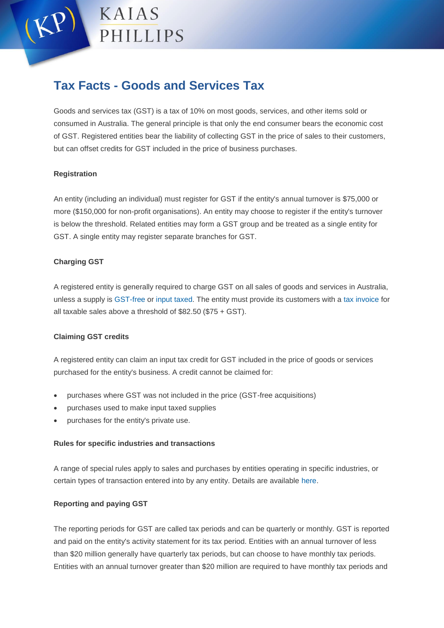

# **Tax Facts - Goods and Services Tax**

Goods and services tax (GST) is a tax of 10% on most goods, services, and other items sold or consumed in Australia. The general principle is that only the end consumer bears the economic cost of GST. Registered entities bear the liability of collecting GST in the price of sales to their customers, but can offset credits for GST included in the price of business purchases.

# **Registration**

An entity (including an individual) must register for GST if the entity's annual turnover is \$75,000 or more (\$150,000 for non-profit organisations). An entity may choose to register if the entity's turnover is below the threshold. Related entities may form a GST group and be treated as a single entity for GST. A single entity may register separate branches for GST.

# **Charging GST**

A registered entity is generally required to charge GST on all sales of goods and services in Australia, unless a supply is [GST-free](https://www.ato.gov.au/Business/GST/When-to-charge-GST-(and-when-not-to)/GST-free-sales/) or [input taxed.](https://www.ato.gov.au/Business/GST/When-to-charge-GST-(and-when-not-to)/Input-taxed-sales/) The entity must provide its customers with a [tax invoice](https://www.ato.gov.au/Business/GST/Issuing-tax-invoices/) for all taxable sales above a threshold of \$82.50 (\$75 + GST).

### **Claiming GST credits**

A registered entity can claim an input tax credit for GST included in the price of goods or services purchased for the entity's business. A credit cannot be claimed for:

- purchases where GST was not included in the price (GST-free acquisitions)
- purchases used to make input taxed supplies
- purchases for the entity's private use.

### **Rules for specific industries and transactions**

A range of special rules apply to sales and purchases by entities operating in specific industries, or certain types of transaction entered into by any entity. Details are available [here.](https://www.ato.gov.au/Business/GST/In-detail/)

### **Reporting and paying GST**

The reporting periods for GST are called tax periods and can be quarterly or monthly. GST is reported and paid on the entity's activity statement for its tax period. Entities with an annual turnover of less than \$20 million generally have quarterly tax periods, but can choose to have monthly tax periods. Entities with an annual turnover greater than \$20 million are required to have monthly tax periods and